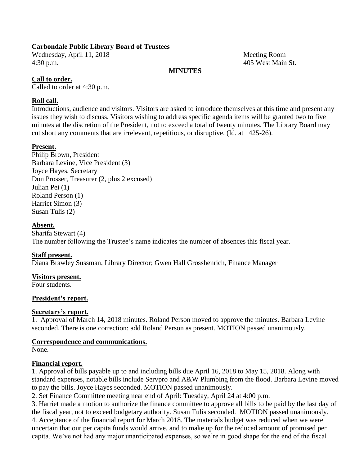## **Carbondale Public Library Board of Trustees**

Wednesday, April 11, 2018 Meeting Room 4:30 p.m. 405 West Main St.

## **MINUTES**

## **Call to order.**

Called to order at 4:30 p.m.

## **Roll call.**

Introductions, audience and visitors. Visitors are asked to introduce themselves at this time and present any issues they wish to discuss. Visitors wishing to address specific agenda items will be granted two to five minutes at the discretion of the President, not to exceed a total of twenty minutes. The Library Board may cut short any comments that are irrelevant, repetitious, or disruptive. (Id. at 1425-26).

## **Present.**

Philip Brown, President Barbara Levine, Vice President (3) Joyce Hayes, Secretary Don Prosser, Treasurer (2, plus 2 excused) Julian Pei (1) Roland Person (1) Harriet Simon (3) Susan Tulis (2)

#### **Absent.**

Sharifa Stewart (4) The number following the Trustee's name indicates the number of absences this fiscal year.

#### **Staff present.**

Diana Brawley Sussman, Library Director; Gwen Hall Grosshenrich, Finance Manager

#### **Visitors present.**

Four students.

#### **President's report.**

#### **Secretary's report.**

1. Approval of March 14, 2018 minutes. Roland Person moved to approve the minutes. Barbara Levine seconded. There is one correction: add Roland Person as present. MOTION passed unanimously.

## **Correspondence and communications.**

None.

#### **Financial report.**

1. Approval of bills payable up to and including bills due April 16, 2018 to May 15, 2018. Along with standard expenses, notable bills include Servpro and A&W Plumbing from the flood. Barbara Levine moved to pay the bills. Joyce Hayes seconded. MOTION passed unanimously.

2. Set Finance Committee meeting near end of April: Tuesday, April 24 at 4:00 p.m.

3. Harriet made a motion to authorize the finance committee to approve all bills to be paid by the last day of the fiscal year, not to exceed budgetary authority. Susan Tulis seconded. MOTION passed unanimously. 4. Acceptance of the financial report for March 2018. The materials budget was reduced when we were uncertain that our per capita funds would arrive, and to make up for the reduced amount of promised per capita. We've not had any major unanticipated expenses, so we're in good shape for the end of the fiscal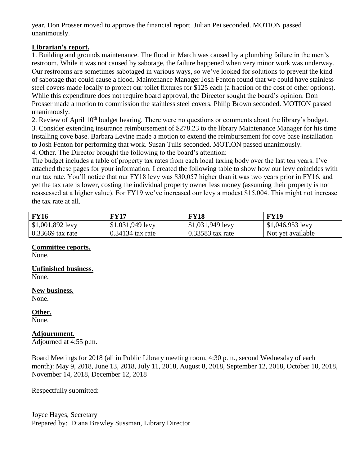year. Don Prosser moved to approve the financial report. Julian Pei seconded. MOTION passed unanimously.

## **Librarian's report.**

1. Building and grounds maintenance. The flood in March was caused by a plumbing failure in the men's restroom. While it was not caused by sabotage, the failure happened when very minor work was underway. Our restrooms are sometimes sabotaged in various ways, so we've looked for solutions to prevent the kind of sabotage that could cause a flood. Maintenance Manager Josh Fenton found that we could have stainless steel covers made locally to protect our toilet fixtures for \$125 each (a fraction of the cost of other options). While this expenditure does not require board approval, the Director sought the board's opinion. Don Prosser made a motion to commission the stainless steel covers. Philip Brown seconded. MOTION passed unanimously.

2. Review of April  $10<sup>th</sup>$  budget hearing. There were no questions or comments about the library's budget. 3. Consider extending insurance reimbursement of \$278.23 to the library Maintenance Manager for his time installing cove base. Barbara Levine made a motion to extend the reimbursement for cove base installation

to Josh Fenton for performing that work. Susan Tulis seconded. MOTION passed unanimously.

4. Other. The Director brought the following to the board's attention:

The budget includes a table of property tax rates from each local taxing body over the last ten years. I've attached these pages for your information. I created the following table to show how our levy coincides with our tax rate. You'll notice that our FY18 levy was \$30,057 higher than it was two years prior in FY16, and yet the tax rate is lower, costing the individual property owner less money (assuming their property is not reassessed at a higher value). For FY19 we've increased our levy a modest \$15,004. This might not increase the tax rate at all.

| <b>FY16</b>        | FY17               | <b>FY18</b>        | <b>FY19</b>       |
|--------------------|--------------------|--------------------|-------------------|
| $$1,001,892$ levy  | $$1,031,949$ levy  | $$1,031,949$ levy  | $$1,046,953$ levy |
| $0.33669$ tax rate | $0.34134$ tax rate | $0.33583$ tax rate | Not yet available |

# **Committee reports.**

None.

#### **Unfinished business.** None.

**New business.** None.

## **Other.**

None.

#### **Adjournment.**

Adjourned at 4:55 p.m.

Board Meetings for 2018 (all in Public Library meeting room, 4:30 p.m., second Wednesday of each month): May 9, 2018, June 13, 2018, July 11, 2018, August 8, 2018, September 12, 2018, October 10, 2018, November 14, 2018, December 12, 2018

Respectfully submitted:

Joyce Hayes, Secretary Prepared by: Diana Brawley Sussman, Library Director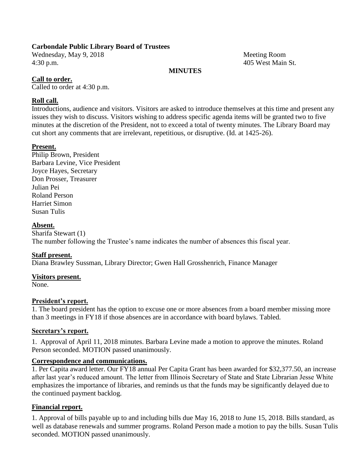## **Carbondale Public Library Board of Trustees**

Wednesday, May 9, 2018 Meeting Room 4:30 p.m. 405 West Main St.

## **MINUTES**

## **Call to order.**

Called to order at 4:30 p.m.

## **Roll call.**

Introductions, audience and visitors. Visitors are asked to introduce themselves at this time and present any issues they wish to discuss. Visitors wishing to address specific agenda items will be granted two to five minutes at the discretion of the President, not to exceed a total of twenty minutes. The Library Board may cut short any comments that are irrelevant, repetitious, or disruptive. (Id. at 1425-26).

## **Present.**

Philip Brown, President Barbara Levine, Vice President Joyce Hayes, Secretary Don Prosser, Treasurer Julian Pei Roland Person Harriet Simon Susan Tulis

#### **Absent.**

Sharifa Stewart (1) The number following the Trustee's name indicates the number of absences this fiscal year.

#### **Staff present.**

Diana Brawley Sussman, Library Director; Gwen Hall Grosshenrich, Finance Manager

#### **Visitors present.**

None.

#### **President's report.**

1. The board president has the option to excuse one or more absences from a board member missing more than 3 meetings in FY18 if those absences are in accordance with board bylaws. Tabled.

#### **Secretary's report.**

1. Approval of April 11, 2018 minutes. Barbara Levine made a motion to approve the minutes. Roland Person seconded. MOTION passed unanimously.

## **Correspondence and communications.**

1. Per Capita award letter. Our FY18 annual Per Capita Grant has been awarded for \$32,377.50, an increase after last year's reduced amount. The letter from Illinois Secretary of State and State Librarian Jesse White emphasizes the importance of libraries, and reminds us that the funds may be significantly delayed due to the continued payment backlog.

## **Financial report.**

1. Approval of bills payable up to and including bills due May 16, 2018 to June 15, 2018. Bills standard, as well as database renewals and summer programs. Roland Person made a motion to pay the bills. Susan Tulis seconded. MOTION passed unanimously.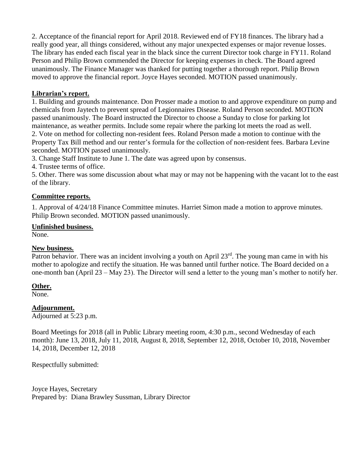2. Acceptance of the financial report for April 2018. Reviewed end of FY18 finances. The library had a really good year, all things considered, without any major unexpected expenses or major revenue losses. The library has ended each fiscal year in the black since the current Director took charge in FY11. Roland Person and Philip Brown commended the Director for keeping expenses in check. The Board agreed unanimously. The Finance Manager was thanked for putting together a thorough report. Philip Brown moved to approve the financial report. Joyce Hayes seconded. MOTION passed unanimously.

## **Librarian's report.**

1. Building and grounds maintenance. Don Prosser made a motion to and approve expenditure on pump and chemicals from Jaytech to prevent spread of Legionnaires Disease. Roland Person seconded. MOTION passed unanimously. The Board instructed the Director to choose a Sunday to close for parking lot maintenance, as weather permits. Include some repair where the parking lot meets the road as well. 2. Vote on method for collecting non-resident fees. Roland Person made a motion to continue with the Property Tax Bill method and our renter's formula for the collection of non-resident fees. Barbara Levine seconded. MOTION passed unanimously.

3. Change Staff Institute to June 1. The date was agreed upon by consensus.

4. Trustee terms of office.

5. Other. There was some discussion about what may or may not be happening with the vacant lot to the east of the library.

## **Committee reports.**

1. Approval of 4/24/18 Finance Committee minutes. Harriet Simon made a motion to approve minutes. Philip Brown seconded. MOTION passed unanimously.

#### **Unfinished business.**

None.

#### **New business.**

Patron behavior. There was an incident involving a youth on April  $23<sup>rd</sup>$ . The young man came in with his mother to apologize and rectify the situation. He was banned until further notice. The Board decided on a one-month ban (April 23 – May 23). The Director will send a letter to the young man's mother to notify her.

#### **Other.**

None.

#### **Adjournment.**

Adjourned at 5:23 p.m.

Board Meetings for 2018 (all in Public Library meeting room, 4:30 p.m., second Wednesday of each month): June 13, 2018, July 11, 2018, August 8, 2018, September 12, 2018, October 10, 2018, November 14, 2018, December 12, 2018

Respectfully submitted:

Joyce Hayes, Secretary Prepared by: Diana Brawley Sussman, Library Director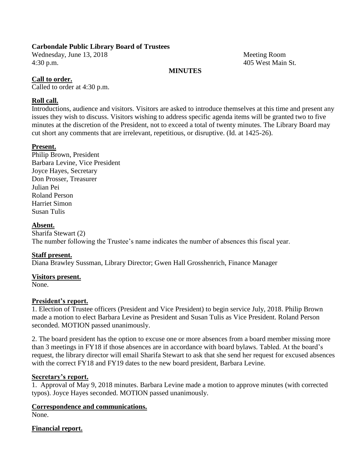## **Carbondale Public Library Board of Trustees**

Wednesday, June 13, 2018 Meeting Room 4:30 p.m. 405 West Main St.

## **MINUTES**

## **Call to order.**

Called to order at 4:30 p.m.

## **Roll call.**

Introductions, audience and visitors. Visitors are asked to introduce themselves at this time and present any issues they wish to discuss. Visitors wishing to address specific agenda items will be granted two to five minutes at the discretion of the President, not to exceed a total of twenty minutes. The Library Board may cut short any comments that are irrelevant, repetitious, or disruptive. (Id. at 1425-26).

#### **Present.**

Philip Brown, President Barbara Levine, Vice President Joyce Hayes, Secretary Don Prosser, Treasurer Julian Pei Roland Person Harriet Simon Susan Tulis

#### **Absent.**

Sharifa Stewart (2) The number following the Trustee's name indicates the number of absences this fiscal year.

#### **Staff present.**

Diana Brawley Sussman, Library Director; Gwen Hall Grosshenrich, Finance Manager

#### **Visitors present.**

None.

#### **President's report.**

1. Election of Trustee officers (President and Vice President) to begin service July, 2018. Philip Brown made a motion to elect Barbara Levine as President and Susan Tulis as Vice President. Roland Person seconded. MOTION passed unanimously.

2. The board president has the option to excuse one or more absences from a board member missing more than 3 meetings in FY18 if those absences are in accordance with board bylaws. Tabled. At the board's request, the library director will email Sharifa Stewart to ask that she send her request for excused absences with the correct FY18 and FY19 dates to the new board president, Barbara Levine.

#### **Secretary's report.**

1. Approval of May 9, 2018 minutes. Barbara Levine made a motion to approve minutes (with corrected typos). Joyce Hayes seconded. MOTION passed unanimously.

#### **Correspondence and communications.**

None.

#### **Financial report.**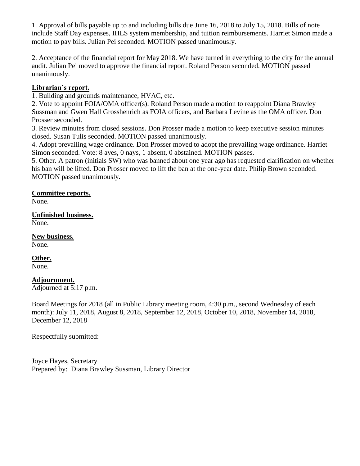1. Approval of bills payable up to and including bills due June 16, 2018 to July 15, 2018. Bills of note include Staff Day expenses, IHLS system membership, and tuition reimbursements. Harriet Simon made a motion to pay bills. Julian Pei seconded. MOTION passed unanimously.

2. Acceptance of the financial report for May 2018. We have turned in everything to the city for the annual audit. Julian Pei moved to approve the financial report. Roland Person seconded. MOTION passed unanimously.

## **Librarian's report.**

1. Building and grounds maintenance, HVAC, etc.

2. Vote to appoint FOIA/OMA officer(s). Roland Person made a motion to reappoint Diana Brawley Sussman and Gwen Hall Grosshenrich as FOIA officers, and Barbara Levine as the OMA officer. Don Prosser seconded.

3. Review minutes from closed sessions. Don Prosser made a motion to keep executive session minutes closed. Susan Tulis seconded. MOTION passed unanimously.

4. Adopt prevailing wage ordinance. Don Prosser moved to adopt the prevailing wage ordinance. Harriet Simon seconded. Vote: 8 ayes, 0 nays, 1 absent, 0 abstained. MOTION passes.

5. Other. A patron (initials SW) who was banned about one year ago has requested clarification on whether his ban will be lifted. Don Prosser moved to lift the ban at the one-year date. Philip Brown seconded. MOTION passed unanimously.

## **Committee reports.**

None.

## **Unfinished business.**

None.

**New business.** None.

**Other.** None.

## **Adjournment.**

Adjourned at 5:17 p.m.

Board Meetings for 2018 (all in Public Library meeting room, 4:30 p.m., second Wednesday of each month): July 11, 2018, August 8, 2018, September 12, 2018, October 10, 2018, November 14, 2018, December 12, 2018

Respectfully submitted:

Joyce Hayes, Secretary Prepared by: Diana Brawley Sussman, Library Director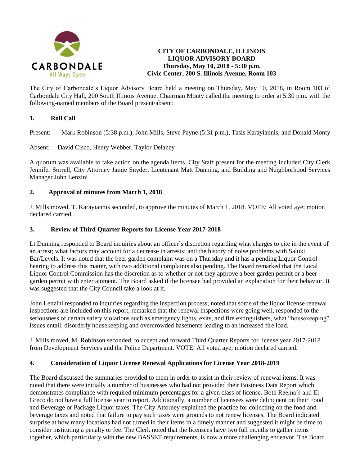

## **CITY OF CARBONDALE, ILLINOIS LIQUOR ADVISORY BOARD Thursday, May 10, 2018 - 5:30 p.m. Civic Center, 200 S. Illinois Avenue, Room 103**

The City of Carbondale's Liquor Advisory Board held a meeting on Thursday, May 10, 2018, in Room 103 of Carbondale City Hall, 200 South Illinois Avenue. Chairman Monty called the meeting to order at 5:30 p.m. with the following-named members of the Board present/absent:

## **1. Roll Call**

Present: Mark Robinson (5:38 p.m.), John Mills, Steve Payne (5:31 p.m.), Tasis Karayiannis, and Donald Monty

Absent: David Cisco, Henry Webber, Taylor Delaney

A quorum was available to take action on the agenda items. City Staff present for the meeting included City Clerk Jennifer Sorrell, City Attorney Jamie Snyder, Lieutenant Matt Dunning, and Building and Neighborhood Services Manager John Lenzini

#### **2. Approval of minutes from March 1, 2018**

J. Mills moved, T. Karayiannis seconded, to approve the minutes of March 1, 2018. VOTE: All voted aye; motion declared carried.

#### **3. Review of Third Quarter Reports for License Year 2017-2018**

Lt Dunning responded to Board inquiries about an officer's discretion regarding what charges to cite in the event of an arrest; what factors may account for a decrease in arrests; and the history of noise problems with Saluki Bar/Levels. It was noted that the beer garden complaint was on a Thursday and it has a pending Liquor Control hearing to address this matter, with two additional complaints also pending. The Board remarked that the Local Liquor Control Commission has the discretion as to whether or not they approve a beer garden permit or a beer garden permit with entertainment. The Board asked if the licensee had provided an explanation for their behavior. It was suggested that the City Council take a look at it.

John Lenzini responded to inquiries regarding the inspection process, noted that some of the liquor license renewal inspections are included on this report, remarked that the renewal inspections were going well, responded to the seriousness of certain safety violations such as emergency lights, exits, and fire extinguishers, what "housekeeping" issues entail, disorderly housekeeping and overcrowded basements leading to an increased fire load.

J. Mills moved, M. Robinson seconded, to accept and forward Third Quarter Reports for license year 2017-2018 from Development Services and the Police Department. VOTE: All voted aye; motion declared carried.

#### **4. Consideration of Liquor License Renewal Applications for License Year 2018-2019**

The Board discussed the summaries provided to them in order to assist in their review of renewal items. It was noted that there were initially a number of businesses who had not provided their Business Data Report which demonstrates compliance with required minimum percentages for a given class of license. Both Reema's and El Greco do not have a full license year to report. Additionally, a number of licensees were delinquent on their Food and Beverage or Package Liquor taxes. The City Attorney explained the practice for collecting on the food and beverage taxes and noted that failure to pay such taxes were grounds to not renew licenses. The Board indicated surprise at how many locations had not turned in their items in a timely manner and suggested it might be time to consider instituting a penalty or fee. The Clerk noted that the licensees have two full months to gather items together, which particularly with the new BASSET requirements, is now a more challenging endeavor. The Board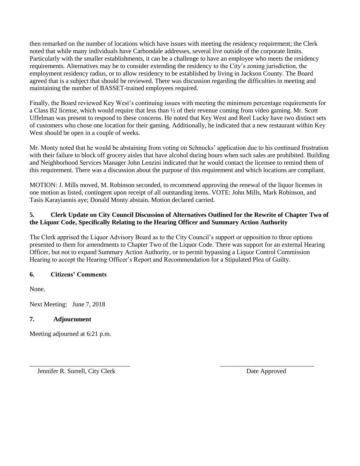then remarked on the number of locations which have issues with meeting the residency requirement; the Clerk noted that while many individuals have Carbondale addresses, several live outside of the corporate limits. Particularly with the smaller establishments, it can be a challenge to have an employee who meets the residency requirements. Alternatives may be to consider extending the residency to the City's zoning jurisdiction, the employment residency radius, or to allow residency to be established by living in Jackson County. The Board agreed that is a subject that should be reviewed. There was discussion regarding the difficulties in meeting and maintaining the number of BASSET-trained employees required.

Finally, the Board reviewed Key West's continuing issues with meeting the minimum percentage requirements for a Class B2 license, which would require that less than ½ of their revenue coming from video gaming. Mr. Scott Uffelman was present to respond to these concerns. He noted that Key West and Reel Lucky have two distinct sets of customers who chose one location for their gaming. Additionally, he indicated that a new restaurant within Key West should be open in a couple of weeks.

Mr. Monty noted that he would be abstaining from voting on Schnucks' application due to his continued frustration with their failure to block off grocery aisles that have alcohol during hours when such sales are prohibited. Building and Neighborhood Services Manager John Lenzini indicated that he would contact the licensee to remind them of this requirement. There was a discussion about the purpose of this requirement and which locations are compliant.

MOTION: J. Mills moved, M. Robinson seconded, to recommend approving the renewal of the liquor licenses in one motion as listed, contingent upon receipt of all outstanding items. VOTE: John Mills, Mark Robinson, and Tasis Karayiannis aye; Donald Monty abstain. Motion declared carried.

## **5. Clerk Update on City Council Discussion of Alternatives Outlined for the Rewrite of Chapter Two of the Liquor Code, Specifically Relating to the Hearing Officer and Summary Action Authority**

The Clerk apprised the Liquor Advisory Board as to the City Council's support or opposition to three options presented to them for amendments to Chapter Two of the Liquor Code. There was support for an external Hearing Officer, but not to expand Summary Action Authority, or to permit bypassing a Liquor Control Commission Hearing to accept the Hearing Officer's Report and Recommendation for a Stipulated Plea of Guilty.

 $\overline{\phantom{a}}$  , and the contract of the contract of the contract of the contract of the contract of the contract of the contract of the contract of the contract of the contract of the contract of the contract of the contrac

## **6. Citizens' Comments**

None.

Next Meeting: June 7, 2018

## **7. Adjournment**

Meeting adjourned at 6:21 p.m.

Jennifer R. Sorrell, City Clerk Date Approved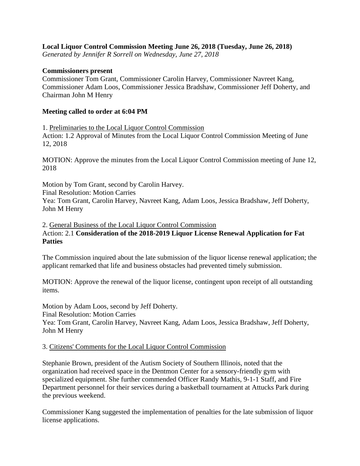## **Local Liquor Control Commission Meeting June 26, 2018 (Tuesday, June 26, 2018)**

*Generated by Jennifer R Sorrell on Wednesday, June 27, 2018*

## **Commissioners present**

Commissioner Tom Grant, Commissioner Carolin Harvey, Commissioner Navreet Kang, Commissioner Adam Loos, Commissioner Jessica Bradshaw, Commissioner Jeff Doherty, and Chairman John M Henry

## **Meeting called to order at 6:04 PM**

1. Preliminaries to the Local Liquor Control Commission

Action: 1.2 Approval of Minutes from the Local Liquor Control Commission Meeting of June 12, 2018

MOTION: Approve the minutes from the Local Liquor Control Commission meeting of June 12, 2018

Motion by Tom Grant, second by Carolin Harvey.

Final Resolution: Motion Carries

Yea: Tom Grant, Carolin Harvey, Navreet Kang, Adam Loos, Jessica Bradshaw, Jeff Doherty, John M Henry

2. General Business of the Local Liquor Control Commission

## Action: 2.1 **Consideration of the 2018-2019 Liquor License Renewal Application for Fat Patties**

The Commission inquired about the late submission of the liquor license renewal application; the applicant remarked that life and business obstacles had prevented timely submission.

MOTION: Approve the renewal of the liquor license, contingent upon receipt of all outstanding items.

Motion by Adam Loos, second by Jeff Doherty. Final Resolution: Motion Carries Yea: Tom Grant, Carolin Harvey, Navreet Kang, Adam Loos, Jessica Bradshaw, Jeff Doherty, John M Henry

## 3. Citizens' Comments for the Local Liquor Control Commission

Stephanie Brown, president of the Autism Society of Southern Illinois, noted that the organization had received space in the Dentmon Center for a sensory-friendly gym with specialized equipment. She further commended Officer Randy Mathis, 9-1-1 Staff, and Fire Department personnel for their services during a basketball tournament at Attucks Park during the previous weekend.

Commissioner Kang suggested the implementation of penalties for the late submission of liquor license applications.